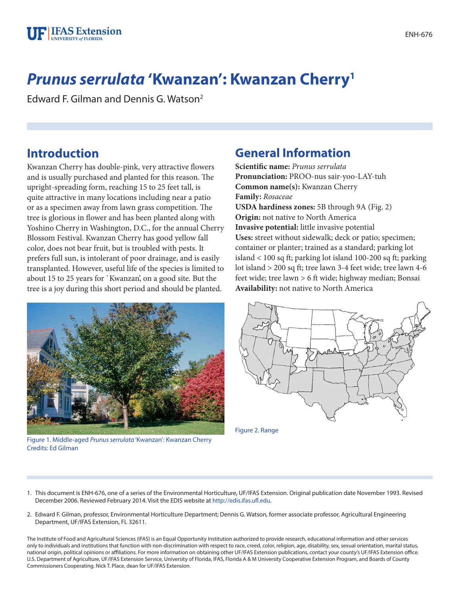

# *Prunus serrulata* **'Kwanzan': Kwanzan Cherry1**

Edward F. Gilman and Dennis G. Watson2

## **Introduction**

Kwanzan Cherry has double-pink, very attractive flowers and is usually purchased and planted for this reason. The upright-spreading form, reaching 15 to 25 feet tall, is quite attractive in many locations including near a patio or as a specimen away from lawn grass competition. The tree is glorious in flower and has been planted along with Yoshino Cherry in Washington, D.C., for the annual Cherry Blossom Festival. Kwanzan Cherry has good yellow fall color, does not bear fruit, but is troubled with pests. It prefers full sun, is intolerant of poor drainage, and is easily transplanted. However, useful life of the species is limited to about 15 to 25 years for `Kwanzan', on a good site. But the tree is a joy during this short period and should be planted.



**Scientific name:** *Prunus serrulata* **Pronunciation:** PROO-nus sair-yoo-LAY-tuh **Common name(s):** Kwanzan Cherry **Family:** *Rosaceae* **USDA hardiness zones:** 5B through 9A (Fig. 2) **Origin:** not native to North America **Invasive potential:** little invasive potential **Uses:** street without sidewalk; deck or patio; specimen; container or planter; trained as a standard; parking lot island < 100 sq ft; parking lot island 100-200 sq ft; parking lot island > 200 sq ft; tree lawn 3-4 feet wide; tree lawn 4-6 feet wide; tree lawn > 6 ft wide; highway median; Bonsai **Availability:** not native to North America



Figure 1. Middle-aged *Prunus serrulata* 'Kwanzan': Kwanzan Cherry Credits: Ed Gilman



Figure 2. Range

- 1. This document is ENH-676, one of a series of the Environmental Horticulture, UF/IFAS Extension. Original publication date November 1993. Revised December 2006. Reviewed February 2014. Visit the EDIS website at [http://edis.ifas.ufl.edu.](http://edis.ifas.ufl.edu)
- 2. Edward F. Gilman, professor, Environmental Horticulture Department; Dennis G. Watson, former associate professor, Agricultural Engineering Department, UF/IFAS Extension, FL 32611.

The Institute of Food and Agricultural Sciences (IFAS) is an Equal Opportunity Institution authorized to provide research, educational information and other services only to individuals and institutions that function with non-discrimination with respect to race, creed, color, religion, age, disability, sex, sexual orientation, marital status, national origin, political opinions or affiliations. For more information on obtaining other UF/IFAS Extension publications, contact your county's UF/IFAS Extension office. U.S. Department of Agriculture, UF/IFAS Extension Service, University of Florida, IFAS, Florida A & M University Cooperative Extension Program, and Boards of County Commissioners Cooperating. Nick T. Place, dean for UF/IFAS Extension.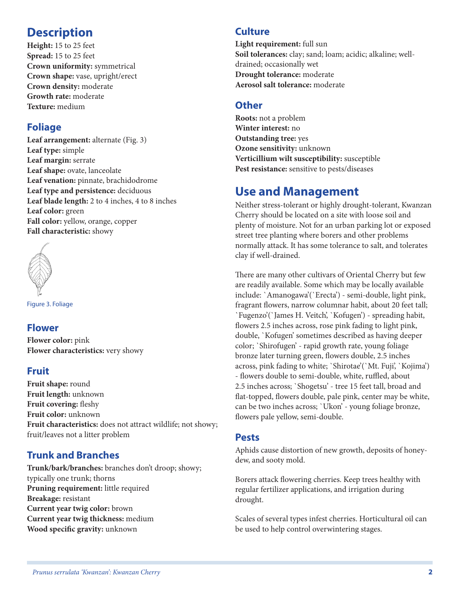# **Description**

**Height:** 15 to 25 feet **Spread:** 15 to 25 feet **Crown uniformity:** symmetrical **Crown shape:** vase, upright/erect **Crown density:** moderate **Growth rate:** moderate **Texture:** medium

### **Foliage**

Leaf arrangement: alternate (Fig. 3) **Leaf type:** simple **Leaf margin:** serrate **Leaf shape:** ovate, lanceolate **Leaf venation:** pinnate, brachidodrome **Leaf type and persistence:** deciduous **Leaf blade length:** 2 to 4 inches, 4 to 8 inches **Leaf color:** green **Fall color:** yellow, orange, copper **Fall characteristic:** showy



Figure 3. Foliage

### **Flower**

**Flower color:** pink **Flower characteristics:** very showy

#### **Fruit**

**Fruit shape:** round **Fruit length:** unknown **Fruit covering:** fleshy **Fruit color:** unknown **Fruit characteristics:** does not attract wildlife; not showy; fruit/leaves not a litter problem

### **Trunk and Branches**

**Trunk/bark/branches:** branches don't droop; showy; typically one trunk; thorns **Pruning requirement:** little required **Breakage:** resistant **Current year twig color:** brown **Current year twig thickness:** medium **Wood specific gravity:** unknown

#### **Culture**

**Light requirement:** full sun **Soil tolerances:** clay; sand; loam; acidic; alkaline; welldrained; occasionally wet **Drought tolerance:** moderate **Aerosol salt tolerance:** moderate

#### **Other**

**Roots:** not a problem **Winter interest:** no **Outstanding tree:** yes **Ozone sensitivity:** unknown **Verticillium wilt susceptibility:** susceptible **Pest resistance:** sensitive to pests/diseases

# **Use and Management**

Neither stress-tolerant or highly drought-tolerant, Kwanzan Cherry should be located on a site with loose soil and plenty of moisture. Not for an urban parking lot or exposed street tree planting where borers and other problems normally attack. It has some tolerance to salt, and tolerates clay if well-drained.

There are many other cultivars of Oriental Cherry but few are readily available. Some which may be locally available include: `Amanogawa'(`Erecta') - semi-double, light pink, fragrant flowers, narrow columnar habit, about 20 feet tall; `Fugenzo'(`James H. Veitch', `Kofugen') - spreading habit, flowers 2.5 inches across, rose pink fading to light pink, double, `Kofugen' sometimes described as having deeper color; `Shirofugen' - rapid growth rate, young foliage bronze later turning green, flowers double, 2.5 inches across, pink fading to white; 'Shirotae'('Mt. Fuji', 'Kojima') - flowers double to semi-double, white, ruffled, about 2.5 inches across; `Shogetsu' - tree 15 feet tall, broad and flat-topped, flowers double, pale pink, center may be white, can be two inches across; `Ukon' - young foliage bronze, flowers pale yellow, semi-double.

#### **Pests**

Aphids cause distortion of new growth, deposits of honeydew, and sooty mold.

Borers attack flowering cherries. Keep trees healthy with regular fertilizer applications, and irrigation during drought.

Scales of several types infest cherries. Horticultural oil can be used to help control overwintering stages.